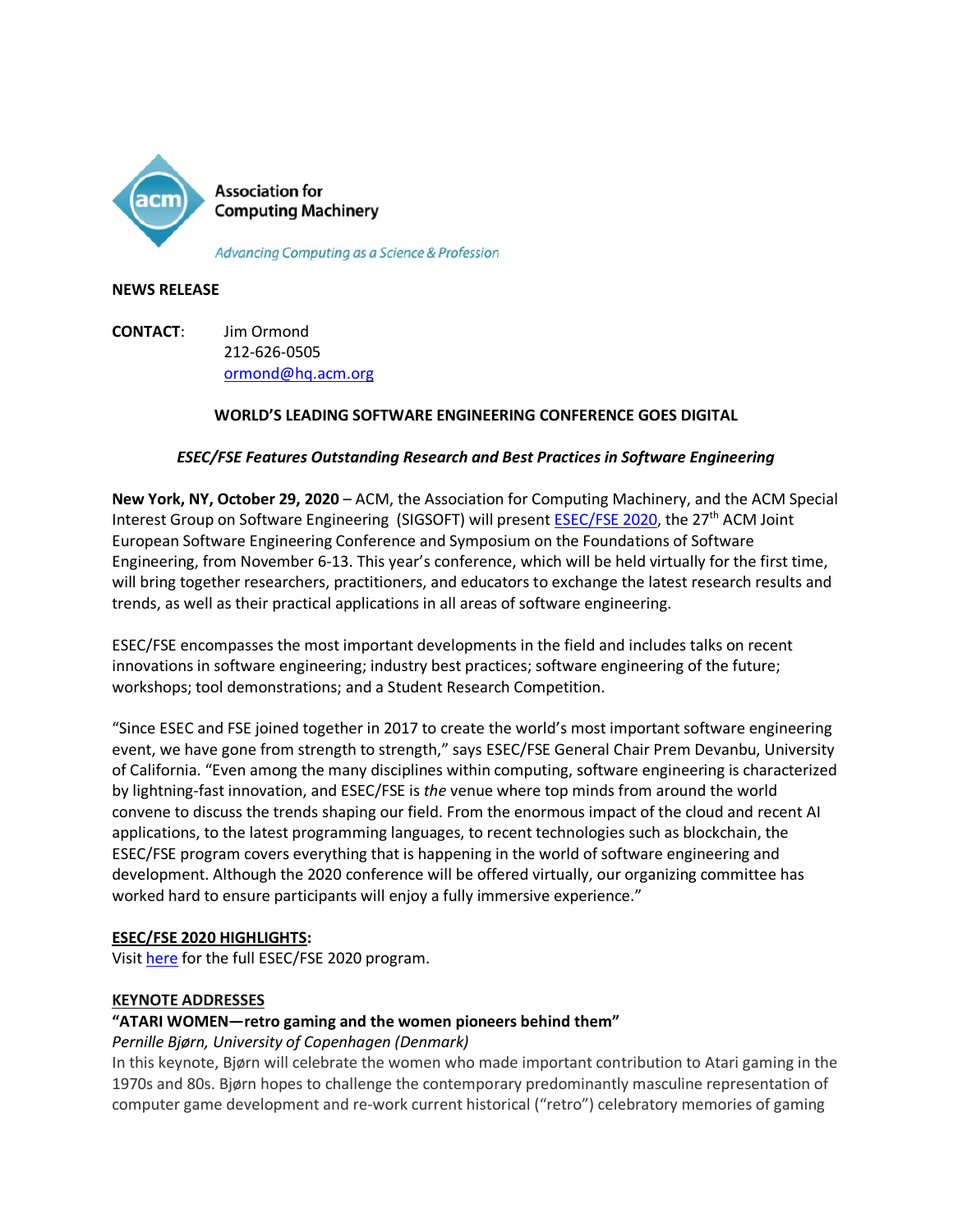

#### **NEWS RELEASE**

**CONTACT**: Jim Ormond 212-626-0505 [ormond@hq.acm.org](mailto:ormond@hq.acm.org)

## **WORLD'S LEADING SOFTWARE ENGINEERING CONFERENCE GOES DIGITAL**

## *ESEC/FSE Features Outstanding Research and Best Practices in Software Engineering*

**New York, NY, October 29, 2020** – ACM, the Association for Computing Machinery, and the ACM Special Interest Group on Software Engineering (SIGSOFT) will present [ESEC/FSE 2020,](https://2020.esec-fse.org/) the 27th ACM Joint European Software Engineering Conference and Symposium on the Foundations of Software Engineering, from November 6-13. This year's conference, which will be held virtually for the first time, will bring together researchers, practitioners, and educators to exchange the latest research results and trends, as well as their practical applications in all areas of software engineering.

ESEC/FSE encompasses the most important developments in the field and includes talks on recent innovations in software engineering; industry best practices; software engineering of the future; workshops; tool demonstrations; and a Student Research Competition.

"Since ESEC and FSE joined together in 2017 to create the world's most important software engineering event, we have gone from strength to strength," says ESEC/FSE General Chair Prem Devanbu, University of California. "Even among the many disciplines within computing, software engineering is characterized by lightning-fast innovation, and ESEC/FSE is *the* venue where top minds from around the world convene to discuss the trends shaping our field. From the enormous impact of the cloud and recent AI applications, to the latest programming languages, to recent technologies such as blockchain, the ESEC/FSE program covers everything that is happening in the world of software engineering and development. Although the 2020 conference will be offered virtually, our organizing committee has worked hard to ensure participants will enjoy a fully immersive experience."

#### **ESEC/FSE 2020 HIGHLIGHTS:**

Visit [here](https://2020.esec-fse.org/) for the full ESEC/FSE 2020 program.

#### **KEYNOTE ADDRESSES**

#### **"ATARI WOMEN—retro gaming and the women pioneers behind them"**

#### *Pernille Bjørn, University of Copenhagen (Denmark)*

In this keynote, Bjørn will celebrate the women who made important contribution to Atari gaming in the 1970s and 80s. Bjørn hopes to challenge the contemporary predominantly masculine representation of computer game development and re-work current historical ("retro") celebratory memories of gaming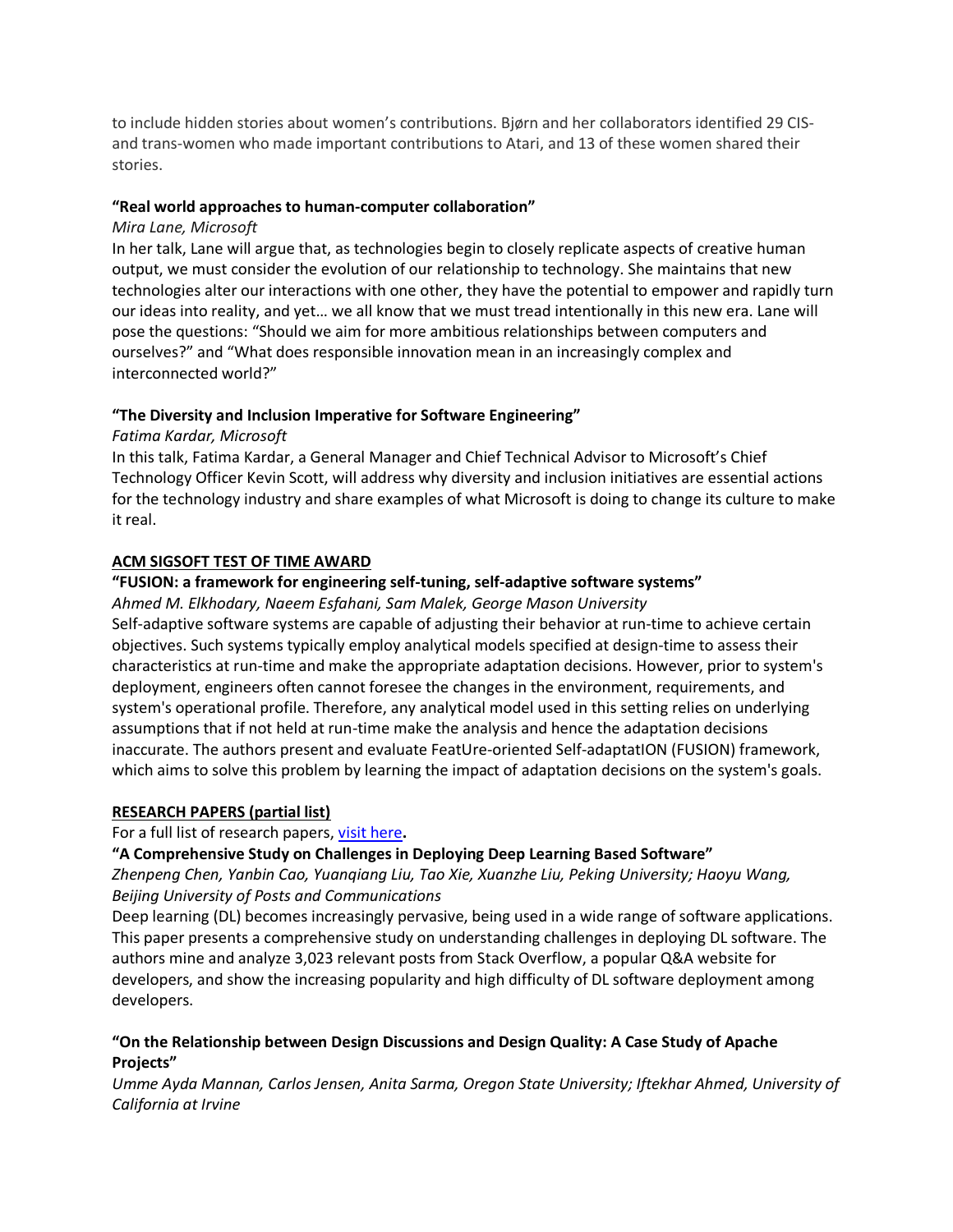to include hidden stories about women's contributions. Bjørn and her collaborators identified 29 CISand trans-women who made important contributions to Atari, and 13 of these women shared their stories.

#### **"Real world approaches to human-computer collaboration"**

## *Mira Lane, Microsoft*

In her talk, Lane will argue that, as technologies begin to closely replicate aspects of creative human output, we must consider the evolution of our relationship to technology. She maintains that new technologies alter our interactions with one other, they have the potential to empower and rapidly turn our ideas into reality, and yet… we all know that we must tread intentionally in this new era. Lane will pose the questions: "Should we aim for more ambitious relationships between computers and ourselves?" and "What does responsible innovation mean in an increasingly complex and interconnected world?"

# **"The Diversity and Inclusion Imperative for Software Engineering"**

# *Fatima Kardar, Microsoft*

In this talk, Fatima Kardar, a General Manager and Chief Technical Advisor to Microsoft's Chief Technology Officer Kevin Scott, will address why diversity and inclusion initiatives are essential actions for the technology industry and share examples of what Microsoft is doing to change its culture to make it real.

## **ACM SIGSOFT TEST OF TIME AWARD**

# **"FUSION: a framework for engineering self-tuning, self-adaptive software systems"**

#### *Ahmed M. Elkhodary, Naeem Esfahani, Sam Malek, George Mason University*

Self-adaptive software systems are capable of adjusting their behavior at run-time to achieve certain objectives. Such systems typically employ analytical models specified at design-time to assess their characteristics at run-time and make the appropriate adaptation decisions. However, prior to system's deployment, engineers often cannot foresee the changes in the environment, requirements, and system's operational profile. Therefore, any analytical model used in this setting relies on underlying assumptions that if not held at run-time make the analysis and hence the adaptation decisions inaccurate. The authors present and evaluate FeatUre-oriented Self-adaptatION (FUSION) framework, which aims to solve this problem by learning the impact of adaptation decisions on the system's goals.

#### **RESEARCH PAPERS (partial list)**

#### For a full list of research papers, [visit here](https://2020.esec-fse.org/track/fse-2020-papers?track=ESEC%2FFSE%20Research%20Papers)**.**

#### **"A Comprehensive Study on Challenges in Deploying Deep Learning Based Software"**

*Zhenpeng Chen, Yanbin Cao, Yuanqiang Liu, Tao Xie, Xuanzhe Liu, Peking University; Haoyu Wang, Beijing University of Posts and Communications*

Deep learning (DL) becomes increasingly pervasive, being used in a wide range of software applications. This paper presents a comprehensive study on understanding challenges in deploying DL software. The authors mine and analyze 3,023 relevant posts from Stack Overflow, a popular Q&A website for developers, and show the increasing popularity and high difficulty of DL software deployment among developers.

## **"On the Relationship between Design Discussions and Design Quality: A Case Study of Apache Projects"**

*Umme Ayda Mannan, Carlos Jensen, Anita Sarma, Oregon State University; Iftekhar Ahmed, University of California at Irvine*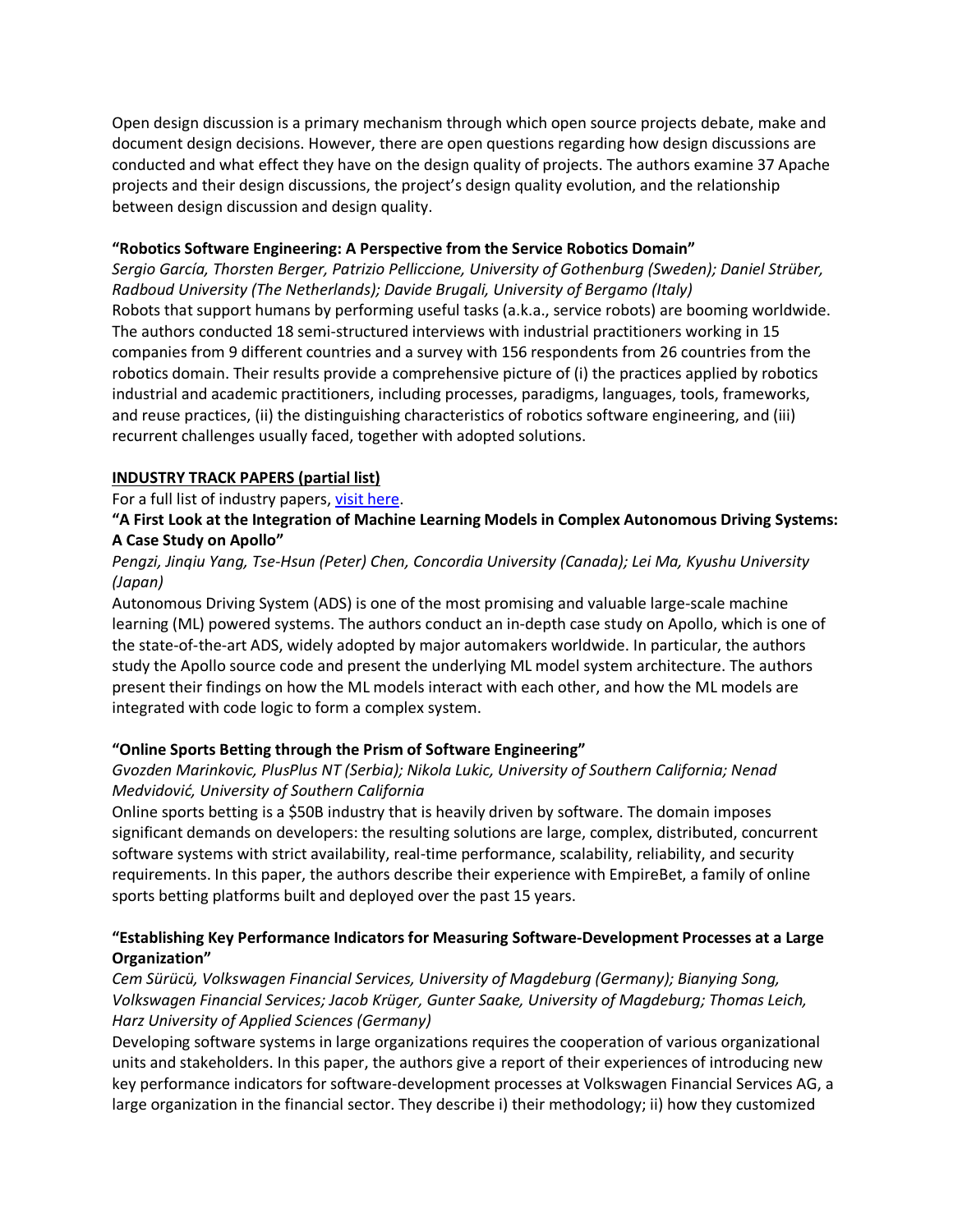Open design discussion is a primary mechanism through which open source projects debate, make and document design decisions. However, there are open questions regarding how design discussions are conducted and what effect they have on the design quality of projects. The authors examine 37 Apache projects and their design discussions, the project's design quality evolution, and the relationship between design discussion and design quality.

#### **"Robotics Software Engineering: A Perspective from the Service Robotics Domain"**

*Sergio García, Thorsten Berger, Patrizio Pelliccione, University of Gothenburg (Sweden); Daniel Strüber, Radboud University (The Netherlands); Davide Brugali, University of Bergamo (Italy)* Robots that support humans by performing useful tasks (a.k.a., service robots) are booming worldwide. The authors conducted 18 semi-structured interviews with industrial practitioners working in 15 companies from 9 different countries and a survey with 156 respondents from 26 countries from the robotics domain. Their results provide a comprehensive picture of (i) the practices applied by robotics industrial and academic practitioners, including processes, paradigms, languages, tools, frameworks, and reuse practices, (ii) the distinguishing characteristics of robotics software engineering, and (iii) recurrent challenges usually faced, together with adopted solutions.

## **INDUSTRY TRACK PAPERS (partial list)**

For a full list of industry papers, [visit here.](https://2020.esec-fse.org/track/esecfse-2020-industry-papers?track=ESEC%2FFSE%20Industry%20Papers)

# **"A First Look at the Integration of Machine Learning Models in Complex Autonomous Driving Systems: A Case Study on Apollo"**

# *Pengzi, Jinqiu Yang, Tse-Hsun (Peter) Chen, Concordia University (Canada); Lei Ma, Kyushu University (Japan)*

Autonomous Driving System (ADS) is one of the most promising and valuable large-scale machine learning (ML) powered systems. The authors conduct an in-depth case study on Apollo, which is one of the state-of-the-art ADS, widely adopted by major automakers worldwide. In particular, the authors study the Apollo source code and present the underlying ML model system architecture. The authors present their findings on how the ML models interact with each other, and how the ML models are integrated with code logic to form a complex system.

# **"Online Sports Betting through the Prism of Software Engineering"**

# *Gvozden Marinkovic, PlusPlus NT (Serbia); Nikola Lukic, University of Southern California; Nenad Medvidović, University of Southern California*

Online sports betting is a \$50B industry that is heavily driven by software. The domain imposes significant demands on developers: the resulting solutions are large, complex, distributed, concurrent software systems with strict availability, real-time performance, scalability, reliability, and security requirements. In this paper, the authors describe their experience with EmpireBet, a family of online sports betting platforms built and deployed over the past 15 years.

# **"Establishing Key Performance Indicators for Measuring Software-Development Processes at a Large Organization"**

*Cem Sürücü, Volkswagen Financial Services, University of Magdeburg (Germany); Bianying Song, Volkswagen Financial Services; Jacob Krüger, Gunter Saake, University of Magdeburg; Thomas Leich, Harz University of Applied Sciences (Germany)* 

Developing software systems in large organizations requires the cooperation of various organizational units and stakeholders. In this paper, the authors give a report of their experiences of introducing new key performance indicators for software-development processes at Volkswagen Financial Services AG, a large organization in the financial sector. They describe i) their methodology; ii) how they customized